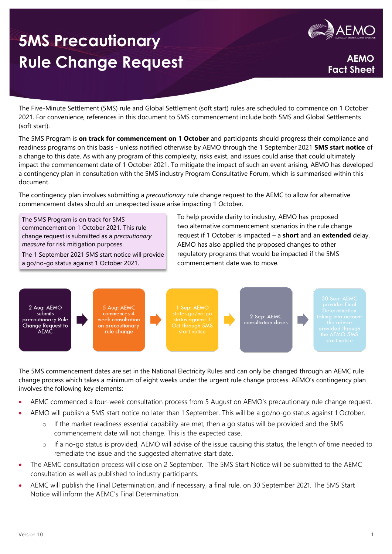# **5MS Precautionary**  Rule Change Request **AEMO**



**Fact Sheet**

The Five-Minute Settlement (5MS) rule and Global Settlement (soft start) rules are scheduled to commence on 1 October 2021. For convenience, references in this document to 5MS commencement include both 5MS and Global Settlements (soft start).

The 5MS Program is **on track for commencement on 1 October** and participants should progress their compliance and readiness programs on this basis - unless notified otherwise by AEMO through the 1 September 2021 **5MS start notice** of a change to this date. As with any program of this complexity, risks exist, and issues could arise that could ultimately impact the commencement date of 1 October 2021. To mitigate the impact of such an event arising, AEMO has developed a contingency plan in consultation with the 5MS industry Program Consultative Forum, which is summarised within this document.

The contingency plan involves submitting a *precautionary* rule change request to the AEMC to allow for alternative commencement dates should an unexpected issue arise impacting 1 October.

The 5MS Program is on track for 5MS commencement on 1 October 2021. This rule change request is submitted as a *precautionary measure* for risk mitigation purposes.

The 1 September 2021 5MS start notice will provide a go/no-go status against 1 October 2021.

To help provide clarity to industry, AEMO has proposed two alternative commencement scenarios in the rule change request if 1 October is impacted – a **short** and an **extended** delay. AEMO has also applied the proposed changes to other regulatory programs that would be impacted if the 5MS commencement date was to move.



The 5MS commencement dates are set in the National Electricity Rules and can only be changed through an AEMC rule change process which takes a minimum of eight weeks under the urgent rule change process. AEMO's contingency plan involves the following key elements:

- AEMC commenced a four-week consultation process from 5 August on AEMO's precautionary rule change request.
- AEMO will publish a 5MS start notice no later than 1 September. This will be a go/no-go status against 1 October.
	- $\circ$  If the market readiness essential capability are met, then a go status will be provided and the 5MS commencement date will not change. This is the expected case.
	- o If a no-go status is provided, AEMO will advise of the issue causing this status, the length of time needed to remediate the issue and the suggested alternative start date.
- The AEMC consultation process will close on 2 September. The 5MS Start Notice will be submitted to the AEMC consultation as well as published to industry participants.
- AEMC will publish the Final Determination, and if necessary, a final rule, on 30 September 2021. The 5MS Start Notice will inform the AEMC's Final Determination.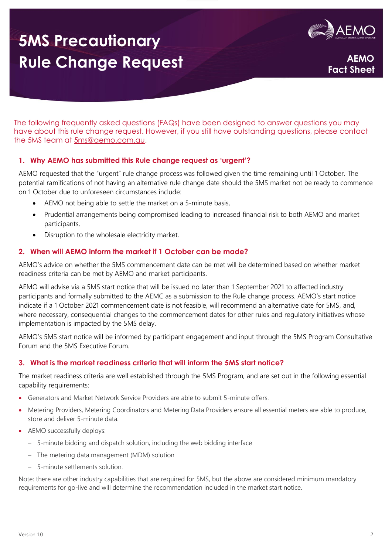# **5MS Precautionary Rule Change Request**



**Fact Sheet**

The following frequently asked questions (FAQs) have been designed to answer questions you may have about this rule change request. However, if you still have outstanding questions, please contact the 5MS team at [5ms@aemo.com.au.](mailto:5ms@aemo.com.au)

## **1. Why AEMO has submitted this Rule change request as 'urgent'?**

AEMO requested that the "urgent" rule change process was followed given the time remaining until 1 October. The potential ramifications of not having an alternative rule change date should the 5MS market not be ready to commence on 1 October due to unforeseen circumstances include:

- AEMO not being able to settle the market on a 5-minute basis,
- Prudential arrangements being compromised leading to increased financial risk to both AEMO and market participants,
- Disruption to the wholesale electricity market.

### **2. When will AEMO inform the market if 1 October can be made?**

AEMO's advice on whether the 5MS commencement date can be met will be determined based on whether market readiness criteria can be met by AEMO and market participants.

AEMO will advise via a 5MS start notice that will be issued no later than 1 September 2021 to affected industry participants and formally submitted to the AEMC as a submission to the Rule change process. AEMO's start notice indicate if a 1 October 2021 commencement date is not feasible, will recommend an alternative date for 5MS, and, where necessary, consequential changes to the commencement dates for other rules and regulatory initiatives whose implementation is impacted by the 5MS delay.

AEMO's 5MS start notice will be informed by participant engagement and input through the 5MS Program Consultative Forum and the 5MS Executive Forum.

#### **3. What is the market readiness criteria that will inform the 5MS start notice?**

The market readiness criteria are well established through the 5MS Program, and are set out in the following essential capability requirements:

- Generators and Market Network Service Providers are able to submit 5-minute offers.
- Metering Providers, Metering Coordinators and Metering Data Providers ensure all essential meters are able to produce, store and deliver 5-minute data.
- AEMO successfully deploys:
	- 5-minute bidding and dispatch solution, including the web bidding interface
	- The metering data management (MDM) solution
	- 5-minute settlements solution.

Note: there are other industry capabilities that are required for 5MS, but the above are considered minimum mandatory requirements for go-live and will determine the recommendation included in the market start notice.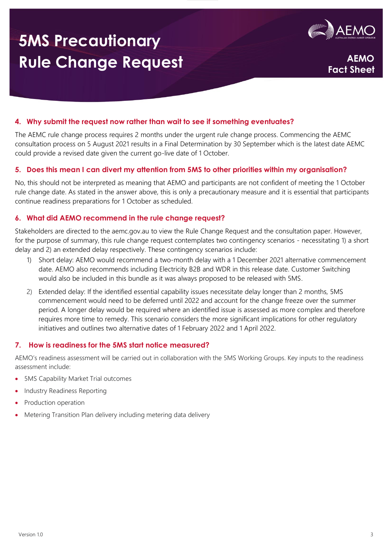# **5MS Precautionary Rule Change Request**



**Fact Sheet**

## **4. Why submit the request now rather than wait to see if something eventuates?**

The AEMC rule change process requires 2 months under the urgent rule change process. Commencing the AEMC consultation process on 5 August 2021 results in a Final Determination by 30 September which is the latest date AEMC could provide a revised date given the current go-live date of 1 October.

#### **5. Does this mean I can divert my attention from 5MS to other priorities within my organisation?**

No, this should not be interpreted as meaning that AEMO and participants are not confident of meeting the 1 October rule change date. As stated in the answer above, this is only a precautionary measure and it is essential that participants continue readiness preparations for 1 October as scheduled.

#### **6. What did AEMO recommend in the rule change request?**

Stakeholders are directed to the aemc.gov.au to view the Rule Change Request and the consultation paper. However, for the purpose of summary, this rule change request contemplates two contingency scenarios - necessitating 1) a short delay and 2) an extended delay respectively. These contingency scenarios include:

- 1) Short delay: AEMO would recommend a two-month delay with a 1 December 2021 alternative commencement date. AEMO also recommends including Electricity B2B and WDR in this release date. Customer Switching would also be included in this bundle as it was always proposed to be released with 5MS.
- 2) Extended delay: If the identified essential capability issues necessitate delay longer than 2 months, 5MS commencement would need to be deferred until 2022 and account for the change freeze over the summer period. A longer delay would be required where an identified issue is assessed as more complex and therefore requires more time to remedy. This scenario considers the more significant implications for other regulatory initiatives and outlines two alternative dates of 1 February 2022 and 1 April 2022.

#### **7. How is readiness for the 5MS start notice measured?**

AEMO's readiness assessment will be carried out in collaboration with the 5MS Working Groups. Key inputs to the readiness assessment include:

- 5MS Capability Market Trial outcomes
- Industry Readiness Reporting
- Production operation
- Metering Transition Plan delivery including metering data delivery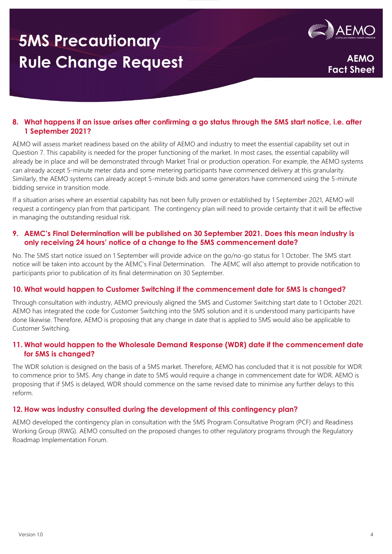# **5MS Precautionary Rule Change Request**



**Fact Sheet**

## **8. What happens if an issue arises after confirming a go status through the 5MS start notice, i.e. after 1 September 2021?**

AEMO will assess market readiness based on the ability of AEMO and industry to meet the essential capability set out in Question 7. This capability is needed for the proper functioning of the market. In most cases, the essential capability will already be in place and will be demonstrated through Market Trial or production operation. For example, the AEMO systems can already accept 5-minute meter data and some metering participants have commenced delivery at this granularity. Similarly, the AEMO systems can already accept 5-minute bids and some generators have commenced using the 5-minute bidding service in transition mode.

If a situation arises where an essential capability has not been fully proven or established by 1 September 2021, AEMO will request a contingency plan from that participant. The contingency plan will need to provide certainty that it will be effective in managing the outstanding residual risk.

### **9. AEMC's Final Determination will be published on 30 September 2021. Does this mean industry is only receiving 24 hours' notice of a change to the 5MS commencement date?**

No. The 5MS start notice issued on 1 September will provide advice on the go/no-go status for 1 October. The 5MS start notice will be taken into account by the AEMC's Final Determination. The AEMC will also attempt to provide notification to participants prior to publication of its final determination on 30 September.

#### **10. What would happen to Customer Switching if the commencement date for 5MS is changed?**

Through consultation with industry, AEMO previously aligned the 5MS and Customer Switching start date to 1 October 2021. AEMO has integrated the code for Customer Switching into the 5MS solution and it is understood many participants have done likewise. Therefore, AEMO is proposing that any change in date that is applied to 5MS would also be applicable to Customer Switching.

### **11. What would happen to the Wholesale Demand Response (WDR) date if the commencement date for 5MS is changed?**

The WDR solution is designed on the basis of a 5MS market. Therefore, AEMO has concluded that it is not possible for WDR to commence prior to 5MS. Any change in date to 5MS would require a change in commencement date for WDR. AEMO is proposing that if 5MS is delayed, WDR should commence on the same revised date to minimise any further delays to this reform.

## **12. How was industry consulted during the development of this contingency plan?**

AEMO developed the contingency plan in consultation with the 5MS Program Consultative Program (PCF) and Readiness Working Group (RWG). AEMO consulted on the proposed changes to other regulatory programs through the Regulatory Roadmap Implementation Forum.